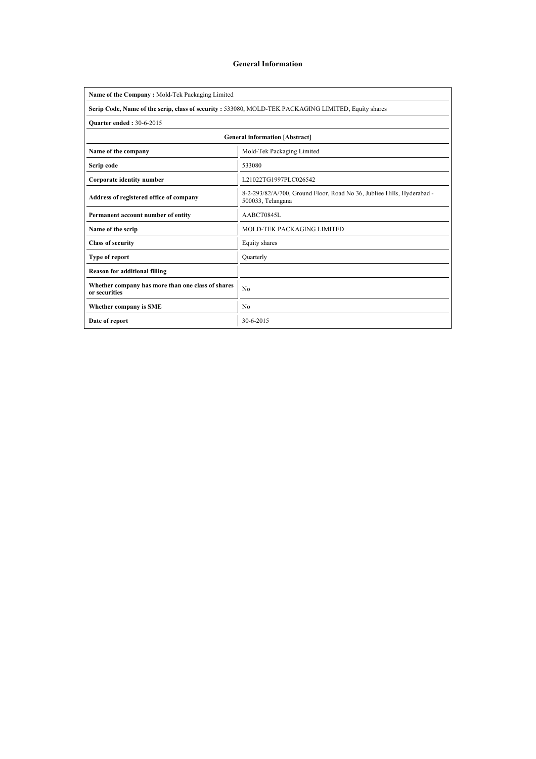### General Information

| Name of the Company: Mold-Tek Packaging Limited                                                     |                                                                                             |  |  |  |  |  |  |
|-----------------------------------------------------------------------------------------------------|---------------------------------------------------------------------------------------------|--|--|--|--|--|--|
| Scrip Code, Name of the scrip, class of security: 533080, MOLD-TEK PACKAGING LIMITED, Equity shares |                                                                                             |  |  |  |  |  |  |
| <b>Ouarter ended: 30-6-2015</b>                                                                     |                                                                                             |  |  |  |  |  |  |
| <b>General information [Abstract]</b>                                                               |                                                                                             |  |  |  |  |  |  |
| Mold-Tek Packaging Limited<br>Name of the company                                                   |                                                                                             |  |  |  |  |  |  |
| Scrip code                                                                                          | 533080                                                                                      |  |  |  |  |  |  |
| Corporate identity number                                                                           | L21022TG1997PLC026542                                                                       |  |  |  |  |  |  |
| Address of registered office of company                                                             | 8-2-293/82/A/700, Ground Floor, Road No 36, Jubliee Hills, Hyderabad -<br>500033, Telangana |  |  |  |  |  |  |
| Permanent account number of entity                                                                  | AABCT0845L                                                                                  |  |  |  |  |  |  |
| Name of the scrip                                                                                   | MOLD-TEK PACKAGING LIMITED                                                                  |  |  |  |  |  |  |
| <b>Class of security</b>                                                                            | Equity shares                                                                               |  |  |  |  |  |  |
| <b>Type of report</b>                                                                               | Ouarterly                                                                                   |  |  |  |  |  |  |
| <b>Reason for additional filling</b>                                                                |                                                                                             |  |  |  |  |  |  |
| Whether company has more than one class of shares<br>or securities                                  | N <sub>0</sub>                                                                              |  |  |  |  |  |  |
| Whether company is SME                                                                              | N <sub>0</sub>                                                                              |  |  |  |  |  |  |
| Date of report                                                                                      | 30-6-2015                                                                                   |  |  |  |  |  |  |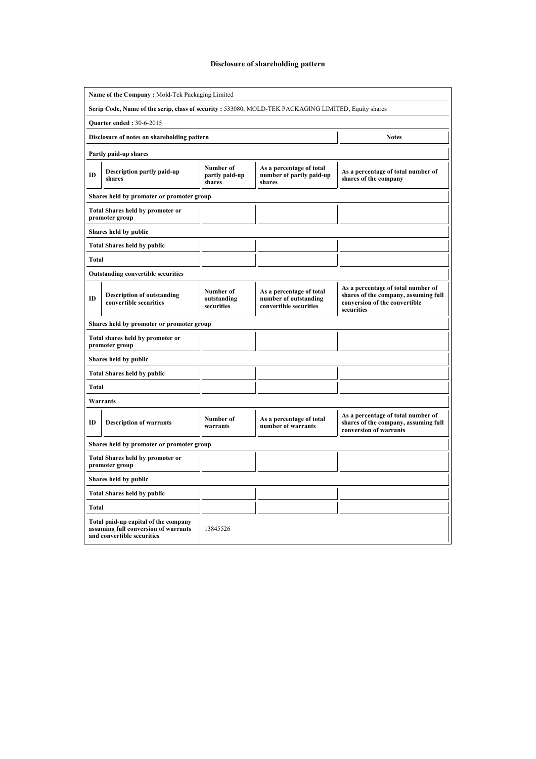# Disclosure of shareholding pattern

| Name of the Company: Mold-Tek Packaging Limited                                                     |                                                                                                            |                                                             |                                                                             |                                                                                                                           |  |  |  |  |  |  |  |
|-----------------------------------------------------------------------------------------------------|------------------------------------------------------------------------------------------------------------|-------------------------------------------------------------|-----------------------------------------------------------------------------|---------------------------------------------------------------------------------------------------------------------------|--|--|--|--|--|--|--|
| Scrip Code, Name of the scrip, class of security: 533080, MOLD-TEK PACKAGING LIMITED, Equity shares |                                                                                                            |                                                             |                                                                             |                                                                                                                           |  |  |  |  |  |  |  |
| <b>Quarter ended: 30-6-2015</b>                                                                     |                                                                                                            |                                                             |                                                                             |                                                                                                                           |  |  |  |  |  |  |  |
|                                                                                                     | Disclosure of notes on shareholding pattern<br><b>Notes</b>                                                |                                                             |                                                                             |                                                                                                                           |  |  |  |  |  |  |  |
|                                                                                                     | Partly paid-up shares                                                                                      |                                                             |                                                                             |                                                                                                                           |  |  |  |  |  |  |  |
| ID                                                                                                  | Description partly paid-up<br>shares                                                                       | As a percentage of total number of<br>shares of the company |                                                                             |                                                                                                                           |  |  |  |  |  |  |  |
|                                                                                                     | Shares held by promoter or promoter group                                                                  |                                                             |                                                                             |                                                                                                                           |  |  |  |  |  |  |  |
|                                                                                                     | <b>Total Shares held by promoter or</b><br>promoter group                                                  |                                                             |                                                                             |                                                                                                                           |  |  |  |  |  |  |  |
|                                                                                                     | Shares held by public                                                                                      |                                                             |                                                                             |                                                                                                                           |  |  |  |  |  |  |  |
|                                                                                                     | <b>Total Shares held by public</b>                                                                         |                                                             |                                                                             |                                                                                                                           |  |  |  |  |  |  |  |
| Total                                                                                               |                                                                                                            |                                                             |                                                                             |                                                                                                                           |  |  |  |  |  |  |  |
|                                                                                                     | <b>Outstanding convertible securities</b>                                                                  |                                                             |                                                                             |                                                                                                                           |  |  |  |  |  |  |  |
| ID                                                                                                  | <b>Description of outstanding</b><br>convertible securities                                                | Number of<br>outstanding<br>securities                      | As a percentage of total<br>number of outstanding<br>convertible securities | As a percentage of total number of<br>shares of the company, assuming full<br>conversion of the convertible<br>securities |  |  |  |  |  |  |  |
|                                                                                                     | Shares held by promoter or promoter group                                                                  |                                                             |                                                                             |                                                                                                                           |  |  |  |  |  |  |  |
|                                                                                                     | Total shares held by promoter or<br>promoter group                                                         |                                                             |                                                                             |                                                                                                                           |  |  |  |  |  |  |  |
|                                                                                                     | Shares held by public                                                                                      |                                                             |                                                                             |                                                                                                                           |  |  |  |  |  |  |  |
|                                                                                                     | <b>Total Shares held by public</b>                                                                         |                                                             |                                                                             |                                                                                                                           |  |  |  |  |  |  |  |
| Total                                                                                               |                                                                                                            |                                                             |                                                                             |                                                                                                                           |  |  |  |  |  |  |  |
|                                                                                                     | Warrants                                                                                                   |                                                             |                                                                             |                                                                                                                           |  |  |  |  |  |  |  |
| ID                                                                                                  | <b>Description of warrants</b>                                                                             | Number of<br>warrants                                       | As a percentage of total<br>number of warrants                              | As a percentage of total number of<br>shares of the company, assuming full<br>conversion of warrants                      |  |  |  |  |  |  |  |
|                                                                                                     | Shares held by promoter or promoter group                                                                  |                                                             |                                                                             |                                                                                                                           |  |  |  |  |  |  |  |
|                                                                                                     | <b>Total Shares held by promoter or</b><br>promoter group                                                  |                                                             |                                                                             |                                                                                                                           |  |  |  |  |  |  |  |
|                                                                                                     | Shares held by public                                                                                      |                                                             |                                                                             |                                                                                                                           |  |  |  |  |  |  |  |
|                                                                                                     | <b>Total Shares held by public</b>                                                                         |                                                             |                                                                             |                                                                                                                           |  |  |  |  |  |  |  |
| Total                                                                                               |                                                                                                            |                                                             |                                                                             |                                                                                                                           |  |  |  |  |  |  |  |
|                                                                                                     | Total paid-up capital of the company<br>assuming full conversion of warrants<br>and convertible securities | 13845526                                                    |                                                                             |                                                                                                                           |  |  |  |  |  |  |  |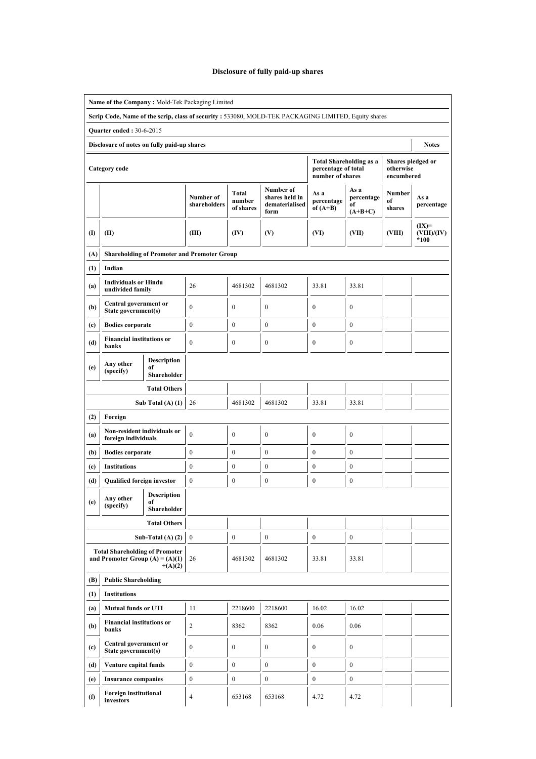# Disclosure of fully paid-up shares

| Name of the Company: Mold-Tek Packaging Limited                                                     |                                                                            |                                         |                                                    |                                     |                                                       |                                         |                                       |                                              |                                |  |  |  |
|-----------------------------------------------------------------------------------------------------|----------------------------------------------------------------------------|-----------------------------------------|----------------------------------------------------|-------------------------------------|-------------------------------------------------------|-----------------------------------------|---------------------------------------|----------------------------------------------|--------------------------------|--|--|--|
| Scrip Code, Name of the scrip, class of security: 533080, MOLD-TEK PACKAGING LIMITED, Equity shares |                                                                            |                                         |                                                    |                                     |                                                       |                                         |                                       |                                              |                                |  |  |  |
|                                                                                                     | <b>Quarter ended: 30-6-2015</b>                                            |                                         |                                                    |                                     |                                                       |                                         |                                       |                                              |                                |  |  |  |
| Disclosure of notes on fully paid-up shares<br><b>Notes</b>                                         |                                                                            |                                         |                                                    |                                     |                                                       |                                         |                                       |                                              |                                |  |  |  |
|                                                                                                     | <b>Category</b> code                                                       |                                         |                                                    |                                     |                                                       | percentage of total<br>number of shares | <b>Total Shareholding as a</b>        | Shares pledged or<br>otherwise<br>encumbered |                                |  |  |  |
|                                                                                                     |                                                                            |                                         | Number of<br>shareholders                          | <b>Total</b><br>number<br>of shares | Number of<br>shares held in<br>dematerialised<br>form | As a<br>percentage<br>of $(A+B)$        | As a<br>percentage<br>of<br>$(A+B+C)$ | Number<br>of<br>shares                       | As a<br>percentage             |  |  |  |
| $\textbf{\textup{I}}$                                                                               | (II)                                                                       |                                         | (III)                                              | (IV)                                | (V)                                                   | (VI)                                    | (VII)                                 | (VIII)                                       | $(IX)=$<br>(VIII)/(IV)<br>*100 |  |  |  |
| (A)                                                                                                 |                                                                            |                                         | <b>Shareholding of Promoter and Promoter Group</b> |                                     |                                                       |                                         |                                       |                                              |                                |  |  |  |
| (1)                                                                                                 | Indian                                                                     |                                         |                                                    |                                     |                                                       |                                         |                                       |                                              |                                |  |  |  |
| (a)                                                                                                 | <b>Individuals or Hindu</b><br>undivided family                            |                                         | 26                                                 | 4681302                             | 4681302                                               | 33.81                                   | 33.81                                 |                                              |                                |  |  |  |
| (b)                                                                                                 | Central government or<br>State government(s)                               |                                         | $\mathbf{0}$                                       | $\mathbf{0}$                        | $\boldsymbol{0}$                                      | $\mathbf{0}$                            | $\mathbf{0}$                          |                                              |                                |  |  |  |
| (c)                                                                                                 | <b>Bodies corporate</b>                                                    |                                         | $\mathbf{0}$                                       | $\boldsymbol{0}$                    | $\mathbf{0}$                                          | $\boldsymbol{0}$                        | $\boldsymbol{0}$                      |                                              |                                |  |  |  |
| (d)                                                                                                 | <b>Financial institutions or</b><br>banks                                  |                                         | $\mathbf{0}$                                       | $\mathbf{0}$                        | $\boldsymbol{0}$                                      | $\mathbf{0}$                            | $\boldsymbol{0}$                      |                                              |                                |  |  |  |
| (e)                                                                                                 | <b>Description</b><br>Any other<br>of                                      |                                         |                                                    |                                     |                                                       |                                         |                                       |                                              |                                |  |  |  |
|                                                                                                     | (specify)<br>Shareholder                                                   |                                         |                                                    |                                     |                                                       |                                         |                                       |                                              |                                |  |  |  |
|                                                                                                     |                                                                            |                                         |                                                    |                                     |                                                       |                                         |                                       |                                              |                                |  |  |  |
| Sub Total $(A)$ $(1)$                                                                               |                                                                            | 26                                      | 4681302                                            | 4681302                             | 33.81                                                 | 33.81                                   |                                       |                                              |                                |  |  |  |
| (2)                                                                                                 | Foreign                                                                    |                                         |                                                    |                                     |                                                       |                                         |                                       |                                              |                                |  |  |  |
| (a)                                                                                                 | Non-resident individuals or<br>foreign individuals                         |                                         | $\theta$                                           | $\mathbf{0}$                        | $\boldsymbol{0}$                                      | $\mathbf{0}$                            | $\mathbf{0}$                          |                                              |                                |  |  |  |
| (b)                                                                                                 | <b>Bodies corporate</b>                                                    |                                         | $\boldsymbol{0}$                                   | $\boldsymbol{0}$                    | $\boldsymbol{0}$                                      | $\mathbf{0}$                            | $\boldsymbol{0}$                      |                                              |                                |  |  |  |
| (c)                                                                                                 | <b>Institutions</b>                                                        |                                         | $\mathbf{0}$                                       | $\boldsymbol{0}$                    | $\boldsymbol{0}$                                      | $\boldsymbol{0}$                        | $\boldsymbol{0}$                      |                                              |                                |  |  |  |
| (d)                                                                                                 | Qualified foreign investor                                                 |                                         | $\mathbf{0}$                                       | $\mathbf{0}$                        | $\mathbf{0}$                                          | $\mathbf{0}$                            | $\boldsymbol{0}$                      |                                              |                                |  |  |  |
| (e)                                                                                                 | Any other<br>(specify)                                                     | <b>Description</b><br>of<br>Shareholder |                                                    |                                     |                                                       |                                         |                                       |                                              |                                |  |  |  |
|                                                                                                     |                                                                            | <b>Total Others</b>                     |                                                    |                                     |                                                       |                                         |                                       |                                              |                                |  |  |  |
|                                                                                                     |                                                                            | Sub-Total $(A)$ $(2)$                   | $\boldsymbol{0}$                                   | $\boldsymbol{0}$                    | $\boldsymbol{0}$                                      | $\boldsymbol{0}$                        | $\boldsymbol{0}$                      |                                              |                                |  |  |  |
|                                                                                                     | <b>Total Shareholding of Promoter</b><br>and Promoter Group $(A) = (A)(1)$ | $+(A)(2)$                               | 26                                                 | 4681302                             | 4681302                                               | 33.81                                   | 33.81                                 |                                              |                                |  |  |  |
| (B)                                                                                                 | <b>Public Shareholding</b>                                                 |                                         |                                                    |                                     |                                                       |                                         |                                       |                                              |                                |  |  |  |
| (1)                                                                                                 | <b>Institutions</b>                                                        |                                         |                                                    |                                     |                                                       |                                         |                                       |                                              |                                |  |  |  |
| (a)                                                                                                 | <b>Mutual funds or UTI</b>                                                 |                                         | 11                                                 | 2218600                             | 2218600                                               | 16.02                                   | 16.02                                 |                                              |                                |  |  |  |
| (b)                                                                                                 | <b>Financial institutions or</b><br>banks                                  |                                         | $\overline{c}$                                     | 8362                                | 8362                                                  | 0.06                                    | 0.06                                  |                                              |                                |  |  |  |
| (c)                                                                                                 | Central government or<br>State government(s)                               |                                         | $\mathbf{0}$                                       | $\boldsymbol{0}$                    | $\boldsymbol{0}$                                      | $\bf{0}$                                | $\boldsymbol{0}$                      |                                              |                                |  |  |  |
| (d)                                                                                                 | Venture capital funds                                                      |                                         | $\boldsymbol{0}$                                   | $\boldsymbol{0}$                    | $\boldsymbol{0}$                                      | $\boldsymbol{0}$                        | $\boldsymbol{0}$                      |                                              |                                |  |  |  |
| (e)                                                                                                 | <b>Insurance companies</b>                                                 |                                         | $\bf{0}$                                           | $\boldsymbol{0}$                    | $\boldsymbol{0}$                                      | $\boldsymbol{0}$                        | $\boldsymbol{0}$                      |                                              |                                |  |  |  |
| (f)                                                                                                 | <b>Foreign institutional</b><br>investors                                  |                                         | $\overline{4}$                                     | 653168                              | 653168                                                | 4.72                                    | 4.72                                  |                                              |                                |  |  |  |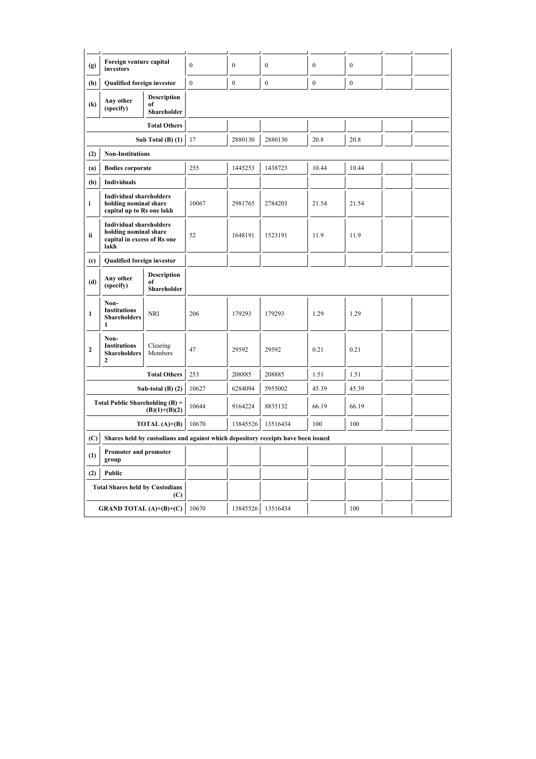| (g)                                                                                     | Foreign venture capital<br>investors                                                           |                                         | $\mathbf{0}$ | $\mathbf{0}$     | $\boldsymbol{0}$ | $\boldsymbol{0}$ | $\mathbf{0}$ |  |  |
|-----------------------------------------------------------------------------------------|------------------------------------------------------------------------------------------------|-----------------------------------------|--------------|------------------|------------------|------------------|--------------|--|--|
| (h)                                                                                     | Qualified foreign investor                                                                     |                                         | $\mathbf{0}$ | $\boldsymbol{0}$ | $\boldsymbol{0}$ | $\boldsymbol{0}$ | $\mathbf{0}$ |  |  |
| $\left( k\right)$                                                                       | Any other<br>(specify)                                                                         | <b>Description</b><br>of<br>Shareholder |              |                  |                  |                  |              |  |  |
|                                                                                         |                                                                                                | <b>Total Others</b>                     |              |                  |                  |                  |              |  |  |
|                                                                                         |                                                                                                | Sub Total $(B)$ $(1)$                   | 17           | 2880130          | 2880130          | 20.8             | 20.8         |  |  |
| (2)                                                                                     | <b>Non-Institutions</b>                                                                        |                                         |              |                  |                  |                  |              |  |  |
| (a)                                                                                     | <b>Bodies corporate</b>                                                                        |                                         | 255          | 1445253          | 1438723          | 10.44            | 10.44        |  |  |
| (b)                                                                                     | Individuals                                                                                    |                                         |              |                  |                  |                  |              |  |  |
| i                                                                                       | <b>Individual shareholders</b><br>holding nominal share<br>capital up to Rs one lakh           |                                         | 10067        | 2981765          | 2784203          | 21.54            | 21.54        |  |  |
| ii                                                                                      | <b>Individual shareholders</b><br>holding nominal share<br>capital in excess of Rs one<br>lakh |                                         | 52           | 1648191          | 1523191          | 11.9             | 11.9         |  |  |
| (c)                                                                                     | Qualified foreign investor                                                                     |                                         |              |                  |                  |                  |              |  |  |
| (d)                                                                                     | Any other<br>(specify)                                                                         | <b>Description</b><br>of<br>Shareholder |              |                  |                  |                  |              |  |  |
| $\mathbf{1}$                                                                            | Non-<br><b>Institutions</b><br><b>Shareholders</b><br>1                                        | <b>NRI</b>                              | 206          | 179293           | 179293           | 1.29             | 1.29         |  |  |
| $\mathbf{2}$                                                                            | Non-<br><b>Institutions</b><br><b>Shareholders</b><br>2                                        | Clearing<br>Members                     | 47           | 29592            | 29592            | 0.21             | 0.21         |  |  |
|                                                                                         |                                                                                                | <b>Total Others</b>                     | 253          | 208885           | 208885           | 1.51             | 1.51         |  |  |
|                                                                                         |                                                                                                | Sub-total $(B)$ $(2)$                   | 10627        | 6284094          | 5955002          | 45.39            | 45.39        |  |  |
|                                                                                         | Total Public Shareholding $(B)$ =                                                              | $(B)(1)+(B)(2)$                         | 10644        | 9164224          | 8835132          | 66.19            | 66.19        |  |  |
| TOTAL $(A)+(B)$                                                                         |                                                                                                |                                         | 10670        | 13845526         | 13516434         | 100              | 100          |  |  |
| (C)<br>Shares held by custodians and against which depository receipts have been issued |                                                                                                |                                         |              |                  |                  |                  |              |  |  |
| (1)                                                                                     | <b>Promoter and promoter</b><br>group                                                          |                                         |              |                  |                  |                  |              |  |  |
| (2)                                                                                     | Public                                                                                         |                                         |              |                  |                  |                  |              |  |  |
|                                                                                         | <b>Total Shares held by Custodians</b>                                                         | (C)                                     |              |                  |                  |                  |              |  |  |
|                                                                                         | <b>GRAND TOTAL</b> $(A)+(B)+(C)$                                                               |                                         | 10670        | 13845526         | 13516434         |                  | 100          |  |  |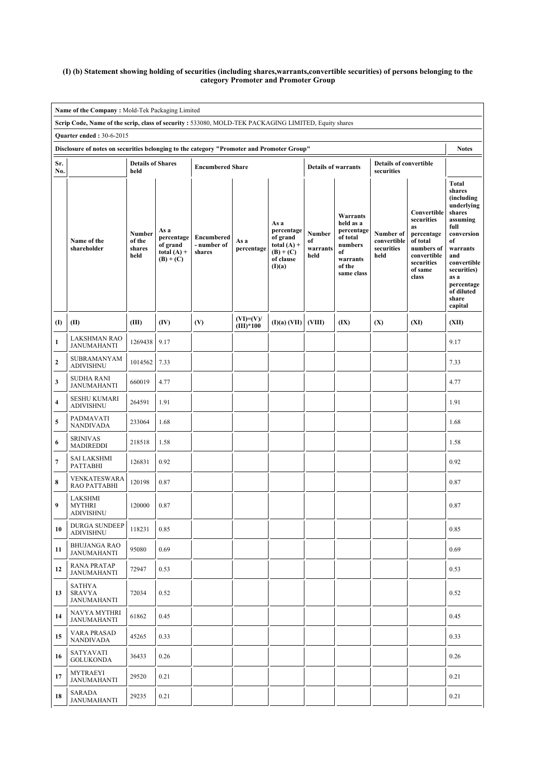#### (I) (b) Statement showing holding of securities (including shares,warrants,convertible securities) of persons belonging to the category Promoter and Promoter Group

|              | Name of the Company: Mold-Tek Packaging Limited                                                                                          |                                    |                                                                |                                     |                            |                                                                                       |                                  |                                                                                                      |                                                |                                                                                                                          |                                                                                                                                                                                                               |
|--------------|------------------------------------------------------------------------------------------------------------------------------------------|------------------------------------|----------------------------------------------------------------|-------------------------------------|----------------------------|---------------------------------------------------------------------------------------|----------------------------------|------------------------------------------------------------------------------------------------------|------------------------------------------------|--------------------------------------------------------------------------------------------------------------------------|---------------------------------------------------------------------------------------------------------------------------------------------------------------------------------------------------------------|
|              | Scrip Code, Name of the scrip, class of security: 533080, MOLD-TEK PACKAGING LIMITED, Equity shares                                      |                                    |                                                                |                                     |                            |                                                                                       |                                  |                                                                                                      |                                                |                                                                                                                          |                                                                                                                                                                                                               |
|              | <b>Quarter ended: 30-6-2015</b><br>Disclosure of notes on securities belonging to the category "Promoter and Promoter Group"             |                                    |                                                                |                                     |                            |                                                                                       |                                  |                                                                                                      |                                                |                                                                                                                          | <b>Notes</b>                                                                                                                                                                                                  |
| Sr.<br>No.   | <b>Details of Shares</b><br><b>Details of convertible</b><br><b>Encumbered Share</b><br><b>Details of warrants</b><br>held<br>securities |                                    |                                                                |                                     |                            |                                                                                       |                                  |                                                                                                      |                                                |                                                                                                                          |                                                                                                                                                                                                               |
|              | Name of the<br>shareholder                                                                                                               | Number<br>of the<br>shares<br>held | As a<br>percentage<br>of grand<br>total $(A)$ +<br>$(B) + (C)$ | Encumbered<br>- number of<br>shares | As a<br>percentage         | As a<br>percentage<br>of grand<br>total $(A)$ +<br>$(B) + (C)$<br>of clause<br>(I)(a) | Number<br>of<br>warrants<br>held | Warrants<br>held as a<br>percentage<br>of total<br>numbers<br>of<br>warrants<br>of the<br>same class | Number of<br>convertible<br>securities<br>held | Convertible<br>securities<br>as<br>percentage<br>of total<br>numbers of<br>convertible<br>securities<br>of same<br>class | <b>Total</b><br>shares<br>(including<br>underlying<br>shares<br>assuming<br>full<br>conversion<br>of<br>warrants<br>and<br>convertible<br>securities)<br>as a<br>percentage<br>of diluted<br>share<br>capital |
| (I)          | (II)                                                                                                                                     | (III)                              | (IV)                                                           | (V)                                 | $(VI)=(V)/$<br>$(III)*100$ | (I)(a) (VII)                                                                          | (VIII)                           | (IX)                                                                                                 | (X)                                            | (XI)                                                                                                                     | (XII)                                                                                                                                                                                                         |
| $\mathbf{1}$ | <b>LAKSHMAN RAO</b><br><b>JANUMAHANTI</b>                                                                                                | 1269438                            | 9.17                                                           |                                     |                            |                                                                                       |                                  |                                                                                                      |                                                |                                                                                                                          | 9.17                                                                                                                                                                                                          |
| $\mathbf{2}$ | SUBRAMANYAM<br><b>ADIVISHNU</b>                                                                                                          | 1014562                            | 7.33                                                           |                                     |                            |                                                                                       |                                  |                                                                                                      |                                                |                                                                                                                          | 7.33                                                                                                                                                                                                          |
| 3            | <b>SUDHA RANI</b><br><b>JANUMAHANTI</b>                                                                                                  | 660019                             | 4.77                                                           |                                     |                            |                                                                                       |                                  |                                                                                                      |                                                |                                                                                                                          | 4.77                                                                                                                                                                                                          |
| 4            | <b>SESHU KUMARI</b><br><b>ADIVISHNU</b>                                                                                                  | 264591                             | 1.91                                                           |                                     |                            |                                                                                       |                                  |                                                                                                      |                                                |                                                                                                                          | 1.91                                                                                                                                                                                                          |
| 5            | PADMAVATI<br><b>NANDIVADA</b>                                                                                                            | 233064                             | 1.68                                                           |                                     |                            |                                                                                       |                                  |                                                                                                      |                                                |                                                                                                                          | 1.68                                                                                                                                                                                                          |
| 6            | <b>SRINIVAS</b><br><b>MADIREDDI</b>                                                                                                      | 218518                             | 1.58                                                           |                                     |                            |                                                                                       |                                  |                                                                                                      |                                                |                                                                                                                          | 1.58                                                                                                                                                                                                          |
| 7            | <b>SAI LAKSHMI</b><br><b>PATTABHI</b>                                                                                                    | 126831                             | 0.92                                                           |                                     |                            |                                                                                       |                                  |                                                                                                      |                                                |                                                                                                                          | 0.92                                                                                                                                                                                                          |
| 8            | VENKATESWARA<br>RAO PATTABHI                                                                                                             | 120198                             | 0.87                                                           |                                     |                            |                                                                                       |                                  |                                                                                                      |                                                |                                                                                                                          | 0.87                                                                                                                                                                                                          |
| 9            | LAKSHMI<br><b>MYTHRI</b><br><b>ADIVISHNU</b>                                                                                             | 120000                             | 0.87                                                           |                                     |                            |                                                                                       |                                  |                                                                                                      |                                                |                                                                                                                          | 0.87                                                                                                                                                                                                          |
| 10           | <b>DURGA SUNDEEP</b><br><b>ADIVISHNU</b>                                                                                                 | 118231                             | 0.85                                                           |                                     |                            |                                                                                       |                                  |                                                                                                      |                                                |                                                                                                                          | 0.85                                                                                                                                                                                                          |
| 11           | <b>BHUJANGA RAO</b><br><b>JANUMAHANTI</b>                                                                                                | 95080                              | 0.69                                                           |                                     |                            |                                                                                       |                                  |                                                                                                      |                                                |                                                                                                                          | 0.69                                                                                                                                                                                                          |
| 12           | <b>RANA PRATAP</b><br><b>JANUMAHANTI</b>                                                                                                 | 72947                              | 0.53                                                           |                                     |                            |                                                                                       |                                  |                                                                                                      |                                                |                                                                                                                          | 0.53                                                                                                                                                                                                          |
| 13           | SATHYA<br><b>SRAVYA</b><br><b>JANUMAHANTI</b>                                                                                            | 72034                              | 0.52                                                           |                                     |                            |                                                                                       |                                  |                                                                                                      |                                                |                                                                                                                          | 0.52                                                                                                                                                                                                          |
| 14           | NAVYA MYTHRI<br><b>JANUMAHANTI</b>                                                                                                       | 61862                              | 0.45                                                           |                                     |                            |                                                                                       |                                  |                                                                                                      |                                                |                                                                                                                          | 0.45                                                                                                                                                                                                          |
| 15           | <b>VARA PRASAD</b><br>NANDIVADA                                                                                                          | 45265                              | 0.33                                                           |                                     |                            |                                                                                       |                                  |                                                                                                      |                                                |                                                                                                                          | 0.33                                                                                                                                                                                                          |
| 16           | SATYAVATI<br><b>GOLUKONDA</b>                                                                                                            | 36433                              | 0.26                                                           |                                     |                            |                                                                                       |                                  |                                                                                                      |                                                |                                                                                                                          | 0.26                                                                                                                                                                                                          |
| 17           | MYTRAEYI<br><b>JANUMAHANTI</b>                                                                                                           | 29520                              | 0.21                                                           |                                     |                            |                                                                                       |                                  |                                                                                                      |                                                |                                                                                                                          | 0.21                                                                                                                                                                                                          |
| 18           | SARADA<br><b>JANUMAHANTI</b>                                                                                                             | 29235                              | 0.21                                                           |                                     |                            |                                                                                       |                                  |                                                                                                      |                                                |                                                                                                                          | 0.21                                                                                                                                                                                                          |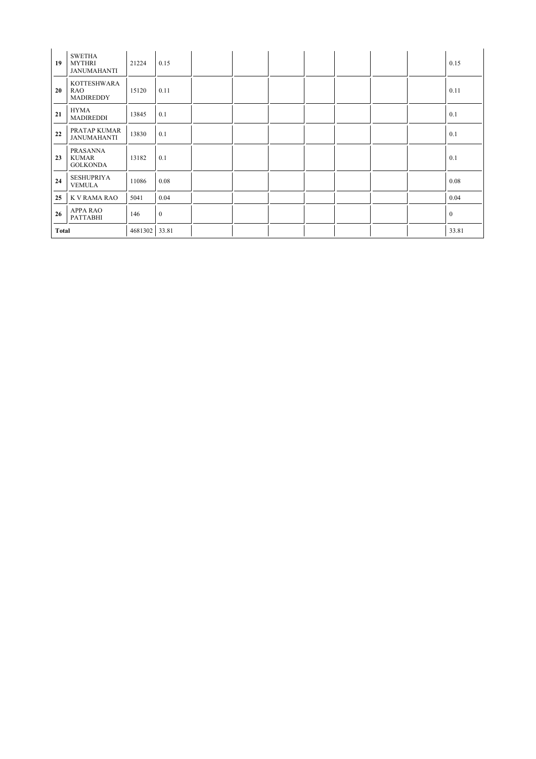| 19           | <b>SWETHA</b><br><b>MYTHRI</b><br><b>JANUMAHANTI</b> | 21224   | 0.15         |  |  |  | 0.15         |
|--------------|------------------------------------------------------|---------|--------------|--|--|--|--------------|
| 20           | <b>KOTTESHWARA</b><br><b>RAO</b><br>MADIREDDY        | 15120   | 0.11         |  |  |  | 0.11         |
| 21           | <b>HYMA</b><br><b>MADIREDDI</b>                      | 13845   | 0.1          |  |  |  | 0.1          |
| 22           | PRATAP KUMAR<br><b>JANUMAHANTI</b>                   | 13830   | 0.1          |  |  |  | 0.1          |
| 23           | PRASANNA<br><b>KUMAR</b><br><b>GOLKONDA</b>          | 13182   | 0.1          |  |  |  | 0.1          |
| 24           | <b>SESHUPRIYA</b><br><b>VEMULA</b>                   | 11086   | 0.08         |  |  |  | 0.08         |
| 25           | K V RAMA RAO                                         | 5041    | 0.04         |  |  |  | 0.04         |
| 26           | <b>APPA RAO</b><br>PATTABHI                          | 146     | $\mathbf{0}$ |  |  |  | $\mathbf{0}$ |
| <b>Total</b> |                                                      | 4681302 | 33.81        |  |  |  | 33.81        |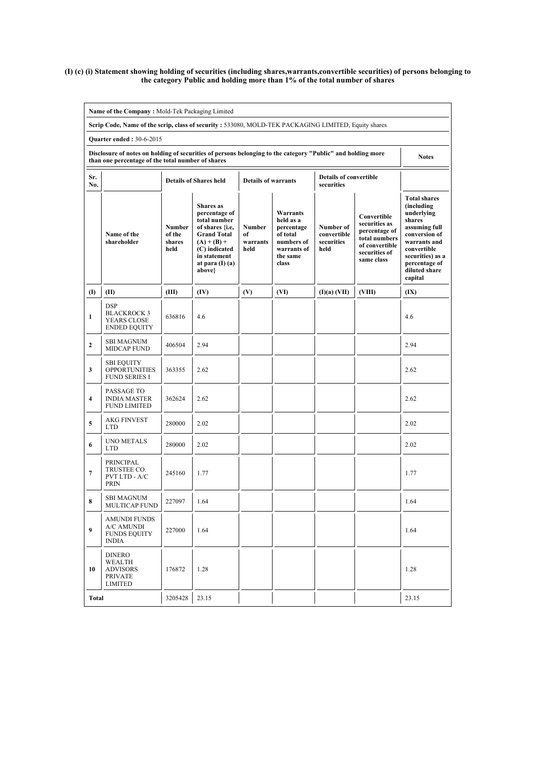#### (I) (c) (i) Statement showing holding of securities (including shares,warrants,convertible securities) of persons belonging to the category Public and holding more than 1% of the total number of shares

|                                                                                                                                                                                  | Name of the Company: Mold-Tek Packaging Limited                                                            |                                           |                                                                                                                                                                               |                                  |                                                                                                   |                                                |                                                                                                                 |                                                                                                                                                                                              |  |  |  |
|----------------------------------------------------------------------------------------------------------------------------------------------------------------------------------|------------------------------------------------------------------------------------------------------------|-------------------------------------------|-------------------------------------------------------------------------------------------------------------------------------------------------------------------------------|----------------------------------|---------------------------------------------------------------------------------------------------|------------------------------------------------|-----------------------------------------------------------------------------------------------------------------|----------------------------------------------------------------------------------------------------------------------------------------------------------------------------------------------|--|--|--|
|                                                                                                                                                                                  | Scrip Code, Name of the scrip, class of security: 533080, MOLD-TEK PACKAGING LIMITED, Equity shares        |                                           |                                                                                                                                                                               |                                  |                                                                                                   |                                                |                                                                                                                 |                                                                                                                                                                                              |  |  |  |
|                                                                                                                                                                                  | <b>Ouarter ended: 30-6-2015</b>                                                                            |                                           |                                                                                                                                                                               |                                  |                                                                                                   |                                                |                                                                                                                 |                                                                                                                                                                                              |  |  |  |
| Disclosure of notes on holding of securities of persons belonging to the category "Public" and holding more<br><b>Notes</b><br>than one percentage of the total number of shares |                                                                                                            |                                           |                                                                                                                                                                               |                                  |                                                                                                   |                                                |                                                                                                                 |                                                                                                                                                                                              |  |  |  |
| Sr.<br>No.                                                                                                                                                                       | <b>Details of convertible</b><br><b>Details of Shares held</b><br><b>Details of warrants</b><br>securities |                                           |                                                                                                                                                                               |                                  |                                                                                                   |                                                |                                                                                                                 |                                                                                                                                                                                              |  |  |  |
|                                                                                                                                                                                  | Name of the<br>shareholder                                                                                 | <b>Number</b><br>of the<br>shares<br>held | <b>Shares</b> as<br>percentage of<br>total number<br>of shares {i.e,<br><b>Grand Total</b><br>$(A) + (B) +$<br>(C) indicated<br>in statement<br>at para $(I)$ $(a)$<br>above} | Number<br>of<br>warrants<br>held | Warrants<br>held as a<br>percentage<br>of total<br>numbers of<br>warrants of<br>the same<br>class | Number of<br>convertible<br>securities<br>held | Convertible<br>securities as<br>percentage of<br>total numbers<br>of convertible<br>securities of<br>same class | <b>Total shares</b><br>(including)<br>underlying<br>shares<br>assuming full<br>conversion of<br>warrants and<br>convertible<br>securities) as a<br>percentage of<br>diluted share<br>capital |  |  |  |
| $\textbf{(I)}$                                                                                                                                                                   | (II)                                                                                                       | (III)                                     | (IV)                                                                                                                                                                          | (V)                              | (VI)                                                                                              | (I)(a) (VII)                                   | (VIII)                                                                                                          | (IX)                                                                                                                                                                                         |  |  |  |
| $\mathbf{1}$                                                                                                                                                                     | <b>DSP</b><br><b>BLACKROCK 3</b><br><b>YEARS CLOSE</b><br><b>ENDED EQUITY</b>                              | 636816                                    | 4.6                                                                                                                                                                           |                                  |                                                                                                   |                                                |                                                                                                                 | 4.6                                                                                                                                                                                          |  |  |  |
| $\mathbf{2}$                                                                                                                                                                     | <b>SBI MAGNUM</b><br><b>MIDCAP FUND</b>                                                                    | 406504                                    | 2.94                                                                                                                                                                          |                                  |                                                                                                   |                                                |                                                                                                                 | 2.94                                                                                                                                                                                         |  |  |  |
| 3                                                                                                                                                                                | <b>SBI EQUITY</b><br><b>OPPORTUNITIES</b><br><b>FUND SERIES I</b>                                          | 363355                                    | 2.62                                                                                                                                                                          |                                  |                                                                                                   |                                                |                                                                                                                 | 2.62                                                                                                                                                                                         |  |  |  |
| $\overline{\mathbf{4}}$                                                                                                                                                          | PASSAGE TO<br><b>INDIA MASTER</b><br><b>FUND LIMITED</b>                                                   | 362624                                    | 2.62                                                                                                                                                                          |                                  |                                                                                                   |                                                |                                                                                                                 | 2.62                                                                                                                                                                                         |  |  |  |
| 5                                                                                                                                                                                | <b>AKG FINVEST</b><br><b>LTD</b>                                                                           | 280000                                    | 2.02                                                                                                                                                                          |                                  |                                                                                                   |                                                |                                                                                                                 | 2.02                                                                                                                                                                                         |  |  |  |
| 6                                                                                                                                                                                | <b>UNO METALS</b><br><b>LTD</b>                                                                            | 280000                                    | 2.02                                                                                                                                                                          |                                  |                                                                                                   |                                                |                                                                                                                 | 2.02                                                                                                                                                                                         |  |  |  |
| $\overline{7}$                                                                                                                                                                   | PRINCIPAL<br>TRUSTEE CO.<br>PVT LTD - A/C<br><b>PRIN</b>                                                   | 245160                                    | 1.77                                                                                                                                                                          |                                  |                                                                                                   |                                                |                                                                                                                 | 1.77                                                                                                                                                                                         |  |  |  |
| 8                                                                                                                                                                                | <b>SBI MAGNUM</b><br><b>MULTICAP FUND</b>                                                                  | 227097                                    | 1.64                                                                                                                                                                          |                                  |                                                                                                   |                                                |                                                                                                                 | 1.64                                                                                                                                                                                         |  |  |  |
| 9                                                                                                                                                                                | <b>AMUNDI FUNDS</b><br>A/C AMUNDI<br><b>FUNDS EQUITY</b><br><b>INDIA</b>                                   | 227000                                    | 1.64                                                                                                                                                                          |                                  |                                                                                                   |                                                |                                                                                                                 | 1.64                                                                                                                                                                                         |  |  |  |
| 10                                                                                                                                                                               | <b>DINERO</b><br>WEALTH<br>ADVISORS<br><b>PRIVATE</b><br><b>LIMITED</b>                                    | 176872                                    | 1.28                                                                                                                                                                          |                                  |                                                                                                   |                                                |                                                                                                                 | 1.28                                                                                                                                                                                         |  |  |  |
| <b>Total</b>                                                                                                                                                                     |                                                                                                            | 3205428                                   | 23.15                                                                                                                                                                         |                                  |                                                                                                   |                                                |                                                                                                                 | 23.15                                                                                                                                                                                        |  |  |  |